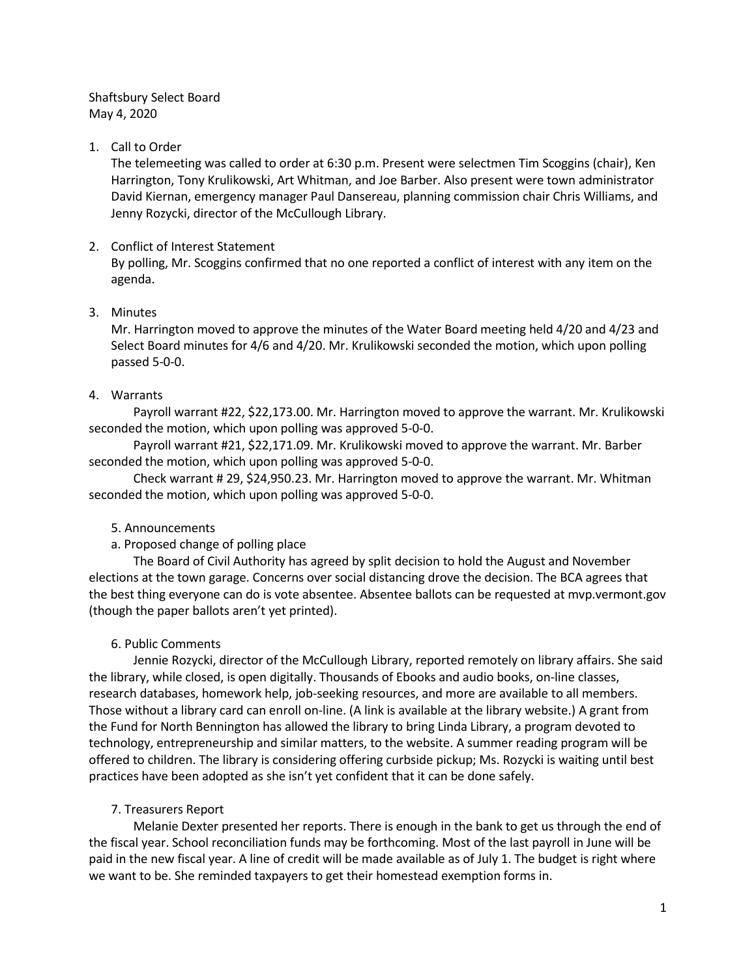Shaftsbury Select Board May 4, 2020

### 1. Call to Order

The telemeeting was called to order at 6:30 p.m. Present were selectmen Tim Scoggins (chair), Ken Harrington, Tony Krulikowski, Art Whitman, and Joe Barber. Also present were town administrator David Kiernan, emergency manager Paul Dansereau, planning commission chair Chris Williams, and Jenny Rozycki, director of the McCullough Library.

## 2. Conflict of Interest Statement

By polling, Mr. Scoggins confirmed that no one reported a conflict of interest with any item on the agenda.

## 3. Minutes

Mr. Harrington moved to approve the minutes of the Water Board meeting held 4/20 and 4/23 and Select Board minutes for 4/6 and 4/20. Mr. Krulikowski seconded the motion, which upon polling passed 5-0-0.

## 4. Warrants

Payroll warrant #22, \$22,173.00. Mr. Harrington moved to approve the warrant. Mr. Krulikowski seconded the motion, which upon polling was approved 5-0-0.

Payroll warrant #21, \$22,171.09. Mr. Krulikowski moved to approve the warrant. Mr. Barber seconded the motion, which upon polling was approved 5-0-0.

Check warrant # 29, \$24,950.23. Mr. Harrington moved to approve the warrant. Mr. Whitman seconded the motion, which upon polling was approved 5-0-0.

## 5. Announcements

## a. Proposed change of polling place

The Board of Civil Authority has agreed by split decision to hold the August and November elections at the town garage. Concerns over social distancing drove the decision. The BCA agrees that the best thing everyone can do is vote absentee. Absentee ballots can be requested at mvp.vermont.gov (though the paper ballots aren't yet printed).

## 6. Public Comments

Jennie Rozycki, director of the McCullough Library, reported remotely on library affairs. She said the library, while closed, is open digitally. Thousands of Ebooks and audio books, on-line classes, research databases, homework help, job-seeking resources, and more are available to all members. Those without a library card can enroll on-line. (A link is available at the library website.) A grant from the Fund for North Bennington has allowed the library to bring Linda Library, a program devoted to technology, entrepreneurship and similar matters, to the website. A summer reading program will be offered to children. The library is considering offering curbside pickup; Ms. Rozycki is waiting until best practices have been adopted as she isn't yet confident that it can be done safely.

## 7. Treasurers Report

Melanie Dexter presented her reports. There is enough in the bank to get us through the end of the fiscal year. School reconciliation funds may be forthcoming. Most of the last payroll in June will be paid in the new fiscal year. A line of credit will be made available as of July 1. The budget is right where we want to be. She reminded taxpayers to get their homestead exemption forms in.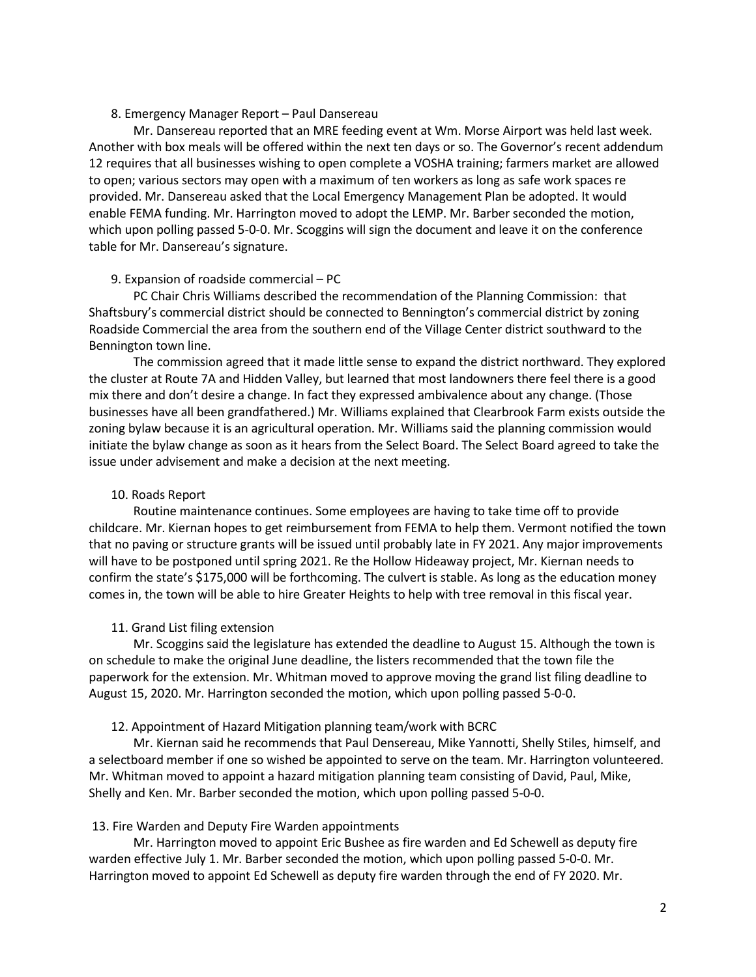#### 8. Emergency Manager Report – Paul Dansereau

Mr. Dansereau reported that an MRE feeding event at Wm. Morse Airport was held last week. Another with box meals will be offered within the next ten days or so. The Governor's recent addendum 12 requires that all businesses wishing to open complete a VOSHA training; farmers market are allowed to open; various sectors may open with a maximum of ten workers as long as safe work spaces re provided. Mr. Dansereau asked that the Local Emergency Management Plan be adopted. It would enable FEMA funding. Mr. Harrington moved to adopt the LEMP. Mr. Barber seconded the motion, which upon polling passed 5-0-0. Mr. Scoggins will sign the document and leave it on the conference table for Mr. Dansereau's signature.

#### 9. Expansion of roadside commercial – PC

PC Chair Chris Williams described the recommendation of the Planning Commission: that Shaftsbury's commercial district should be connected to Bennington's commercial district by zoning Roadside Commercial the area from the southern end of the Village Center district southward to the Bennington town line.

The commission agreed that it made little sense to expand the district northward. They explored the cluster at Route 7A and Hidden Valley, but learned that most landowners there feel there is a good mix there and don't desire a change. In fact they expressed ambivalence about any change. (Those businesses have all been grandfathered.) Mr. Williams explained that Clearbrook Farm exists outside the zoning bylaw because it is an agricultural operation. Mr. Williams said the planning commission would initiate the bylaw change as soon as it hears from the Select Board. The Select Board agreed to take the issue under advisement and make a decision at the next meeting.

#### 10. Roads Report

Routine maintenance continues. Some employees are having to take time off to provide childcare. Mr. Kiernan hopes to get reimbursement from FEMA to help them. Vermont notified the town that no paving or structure grants will be issued until probably late in FY 2021. Any major improvements will have to be postponed until spring 2021. Re the Hollow Hideaway project, Mr. Kiernan needs to confirm the state's \$175,000 will be forthcoming. The culvert is stable. As long as the education money comes in, the town will be able to hire Greater Heights to help with tree removal in this fiscal year.

#### 11. Grand List filing extension

Mr. Scoggins said the legislature has extended the deadline to August 15. Although the town is on schedule to make the original June deadline, the listers recommended that the town file the paperwork for the extension. Mr. Whitman moved to approve moving the grand list filing deadline to August 15, 2020. Mr. Harrington seconded the motion, which upon polling passed 5-0-0.

#### 12. Appointment of Hazard Mitigation planning team/work with BCRC

Mr. Kiernan said he recommends that Paul Densereau, Mike Yannotti, Shelly Stiles, himself, and a selectboard member if one so wished be appointed to serve on the team. Mr. Harrington volunteered. Mr. Whitman moved to appoint a hazard mitigation planning team consisting of David, Paul, Mike, Shelly and Ken. Mr. Barber seconded the motion, which upon polling passed 5-0-0.

#### 13. Fire Warden and Deputy Fire Warden appointments

Mr. Harrington moved to appoint Eric Bushee as fire warden and Ed Schewell as deputy fire warden effective July 1. Mr. Barber seconded the motion, which upon polling passed 5-0-0. Mr. Harrington moved to appoint Ed Schewell as deputy fire warden through the end of FY 2020. Mr.